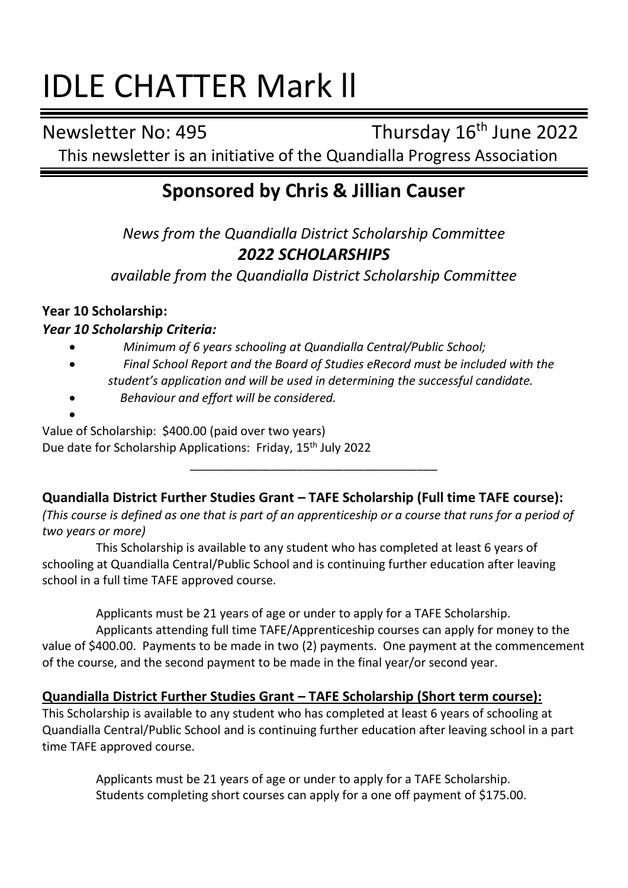# IDLE CHATTER Mark ll

Newsletter No: 495 Thursday 16<sup>th</sup> June 2022

This newsletter is an initiative of the Quandialla Progress Association

# **Sponsored by Chris & Jillian Causer**

*News from the Quandialla District Scholarship Committee 2022 SCHOLARSHIPS*

*available from the Quandialla District Scholarship Committee*

## **Year 10 Scholarship:**

## *Year 10 Scholarship Criteria:*

- *Minimum of 6 years schooling at Quandialla Central/Public School;*
- *Final School Report and the Board of Studies eRecord must be included with the student's application and will be used in determining the successful candidate.*
- *Behaviour and effort will be considered.*

• Value of Scholarship: \$400.00 (paid over two years) Due date for Scholarship Applications: Friday, 15th July 2022

**Quandialla District Further Studies Grant – TAFE Scholarship (Full time TAFE course):**

\_\_\_\_\_\_\_\_\_\_\_\_\_\_\_\_\_\_\_\_\_\_\_\_\_\_\_\_\_\_\_\_\_\_\_\_\_

*(This course is defined as one that is part of an apprenticeship or a course that runs for a period of two years or more)*

This Scholarship is available to any student who has completed at least 6 years of schooling at Quandialla Central/Public School and is continuing further education after leaving school in a full time TAFE approved course.

Applicants must be 21 years of age or under to apply for a TAFE Scholarship.

Applicants attending full time TAFE/Apprenticeship courses can apply for money to the value of \$400.00. Payments to be made in two (2) payments. One payment at the commencement of the course, and the second payment to be made in the final year/or second year.

## **Quandialla District Further Studies Grant – TAFE Scholarship (Short term course):**

This Scholarship is available to any student who has completed at least 6 years of schooling at Quandialla Central/Public School and is continuing further education after leaving school in a part time TAFE approved course.

> Applicants must be 21 years of age or under to apply for a TAFE Scholarship. Students completing short courses can apply for a one off payment of \$175.00.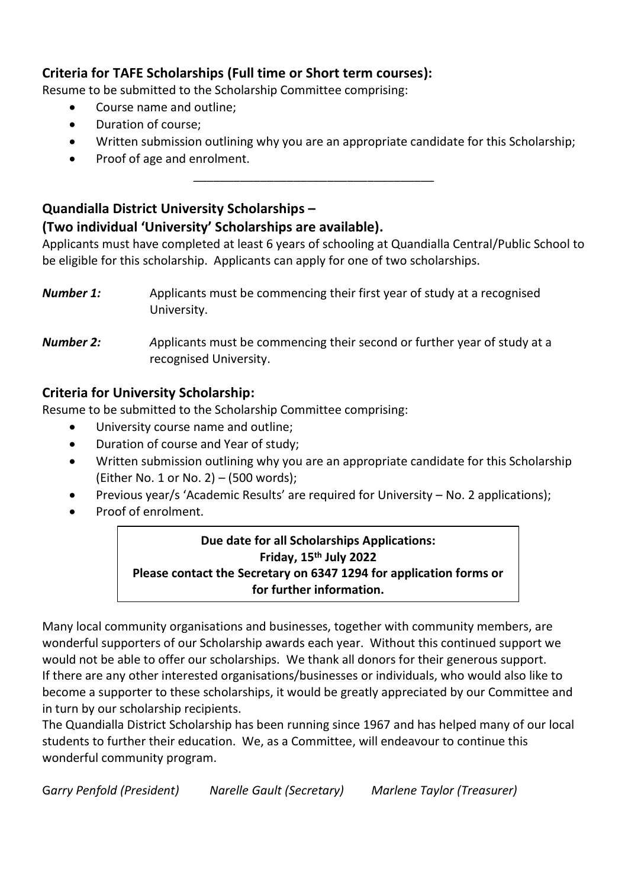## **Criteria for TAFE Scholarships (Full time or Short term courses):**

Resume to be submitted to the Scholarship Committee comprising:

- Course name and outline;
- Duration of course;
- Written submission outlining why you are an appropriate candidate for this Scholarship;

\_\_\_\_\_\_\_\_\_\_\_\_\_\_\_\_\_\_\_\_\_\_\_\_\_\_\_\_\_\_\_\_\_\_\_\_

• Proof of age and enrolment.

## **Quandialla District University Scholarships – (Two individual 'University' Scholarships are available).**

Applicants must have completed at least 6 years of schooling at Quandialla Central/Public School to be eligible for this scholarship. Applicants can apply for one of two scholarships.

*Number 1:* Applicants must be commencing their first year of study at a recognised University.

*Number 2: A*pplicants must be commencing their second or further year of study at a recognised University.

## **Criteria for University Scholarship:**

Resume to be submitted to the Scholarship Committee comprising:

- University course name and outline;
- Duration of course and Year of study;
- Written submission outlining why you are an appropriate candidate for this Scholarship (Either No. 1 or No. 2) – (500 words);
- Previous year/s 'Academic Results' are required for University No. 2 applications);
- Proof of enrolment.

## **Due date for all Scholarships Applications: Friday, 15 th July 2022 Please contact the Secretary on 6347 1294 for application forms or for further information.**

Many local community organisations and businesses, together with community members, are wonderful supporters of our Scholarship awards each year. Without this continued support we would not be able to offer our scholarships. We thank all donors for their generous support. If there are any other interested organisations/businesses or individuals, who would also like to become a supporter to these scholarships, it would be greatly appreciated by our Committee and in turn by our scholarship recipients.

The Quandialla District Scholarship has been running since 1967 and has helped many of our local students to further their education. We, as a Committee, will endeavour to continue this wonderful community program.

G*arry Penfold (President) Narelle Gault (Secretary) Marlene Taylor (Treasurer)*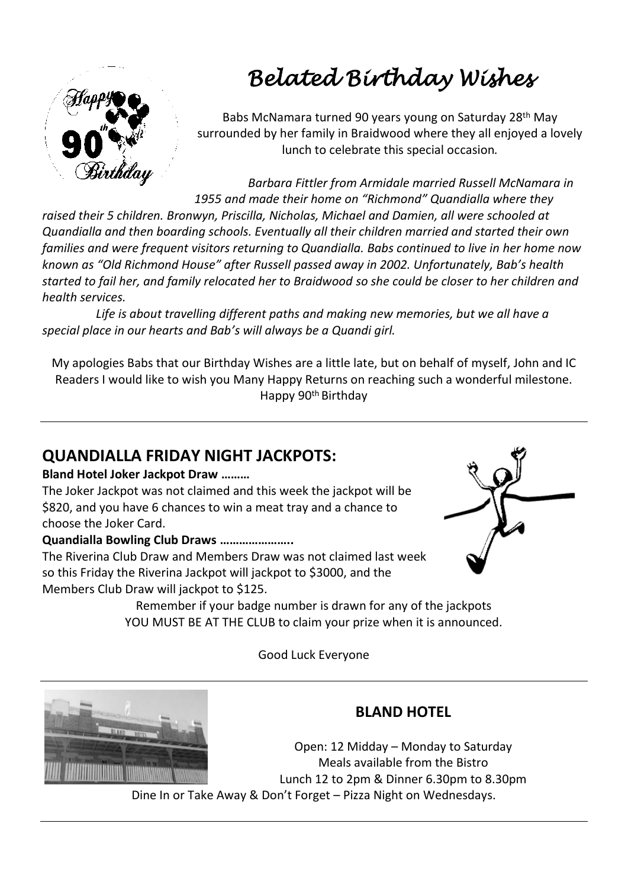

# *Belated Birthday Wishes*

Babs McNamara turned 90 years young on Saturday 28th May surrounded by her family in Braidwood where they all enjoyed a lovely lunch to celebrate this special occasion*.*

*Barbara Fittler from Armidale married Russell McNamara in 1955 and made their home on "Richmond" Quandialla where they* 

*raised their 5 children. Bronwyn, Priscilla, Nicholas, Michael and Damien, all were schooled at Quandialla and then boarding schools. Eventually all their children married and started their own families and were frequent visitors returning to Quandialla. Babs continued to live in her home now known as "Old Richmond House" after Russell passed away in 2002. Unfortunately, Bab's health started to fail her, and family relocated her to Braidwood so she could be closer to her children and health services.*

*Life is about travelling different paths and making new memories, but we all have a special place in our hearts and Bab's will always be a Quandi girl.*

My apologies Babs that our Birthday Wishes are a little late, but on behalf of myself, John and IC Readers I would like to wish you Many Happy Returns on reaching such a wonderful milestone. Happy 90th Birthday

## **QUANDIALLA FRIDAY NIGHT JACKPOTS:**

#### **Bland Hotel Joker Jackpot Draw ………**

The Joker Jackpot was not claimed and this week the jackpot will be \$820, and you have 6 chances to win a meat tray and a chance to choose the Joker Card.

#### **Quandialla Bowling Club Draws …………………..**

The Riverina Club Draw and Members Draw was not claimed last week so this Friday the Riverina Jackpot will jackpot to \$3000, and the Members Club Draw will jackpot to \$125.

Remember if your badge number is drawn for any of the jackpots YOU MUST BE AT THE CLUB to claim your prize when it is announced.

Good Luck Everyone



## **BLAND HOTEL**

Open: 12 Midday – Monday to Saturday Meals available from the Bistro Lunch 12 to 2pm & Dinner 6.30pm to 8.30pm Dine In or Take Away & Don't Forget – Pizza Night on Wednesdays.